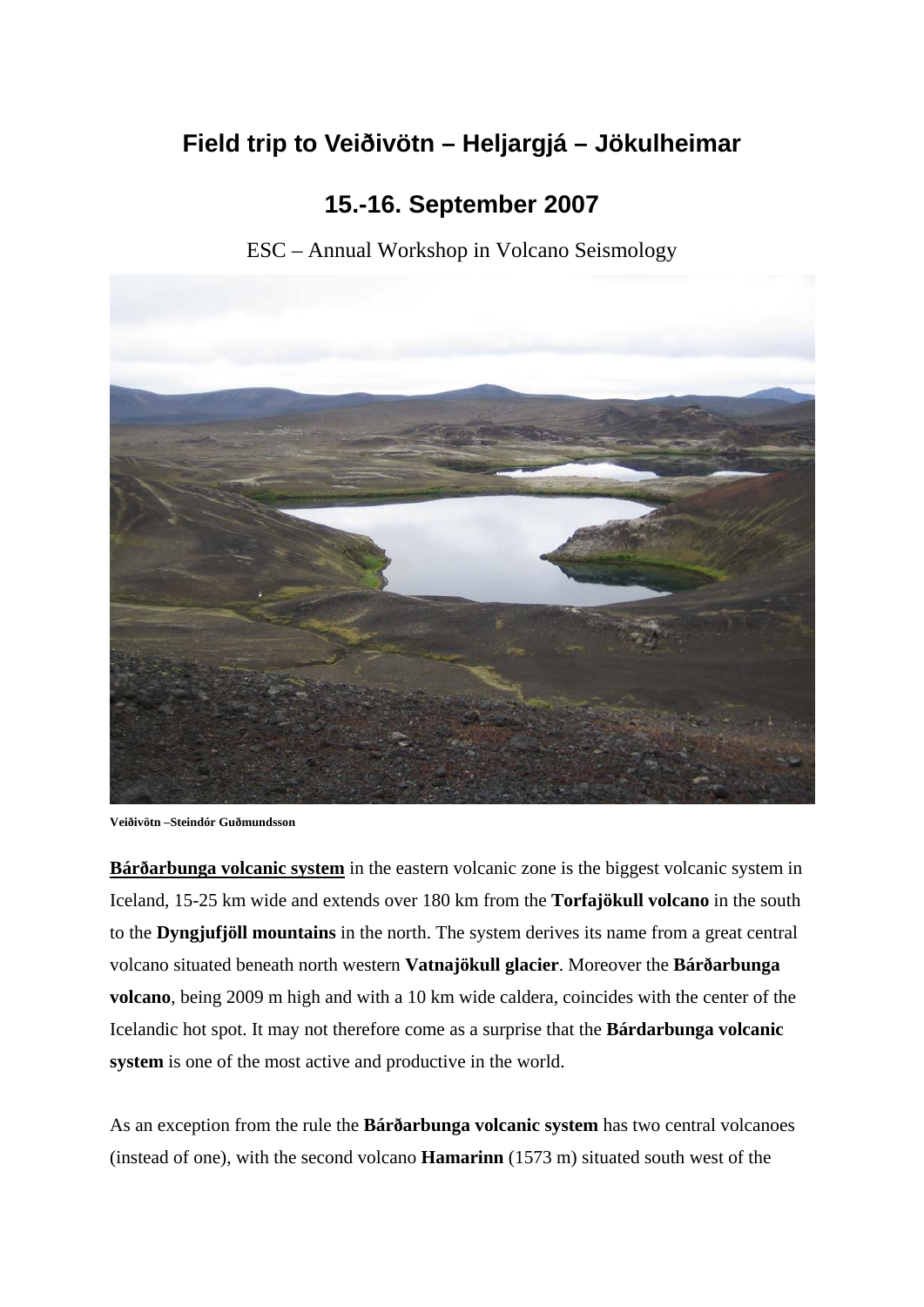## **Field trip to Veiðivötn – Heljargjá – Jökulheimar**

## **15.-16. September 2007**

ESC – Annual Workshop in Volcano Seismology



**Veiðivötn –Steindór Guðmundsson** 

**Bárðarbunga volcanic system** in the eastern volcanic zone is the biggest volcanic system in Iceland, 15-25 km wide and extends over 180 km from the **Torfajökull volcano** in the south to the **Dyngjufjöll mountains** in the north. The system derives its name from a great central volcano situated beneath north western **Vatnajökull glacier**. Moreover the **Bárðarbunga volcano**, being 2009 m high and with a 10 km wide caldera, coincides with the center of the Icelandic hot spot. It may not therefore come as a surprise that the **Bárdarbunga volcanic system** is one of the most active and productive in the world.

As an exception from the rule the **Bárðarbunga volcanic system** has two central volcanoes (instead of one), with the second volcano **Hamarinn** (1573 m) situated south west of the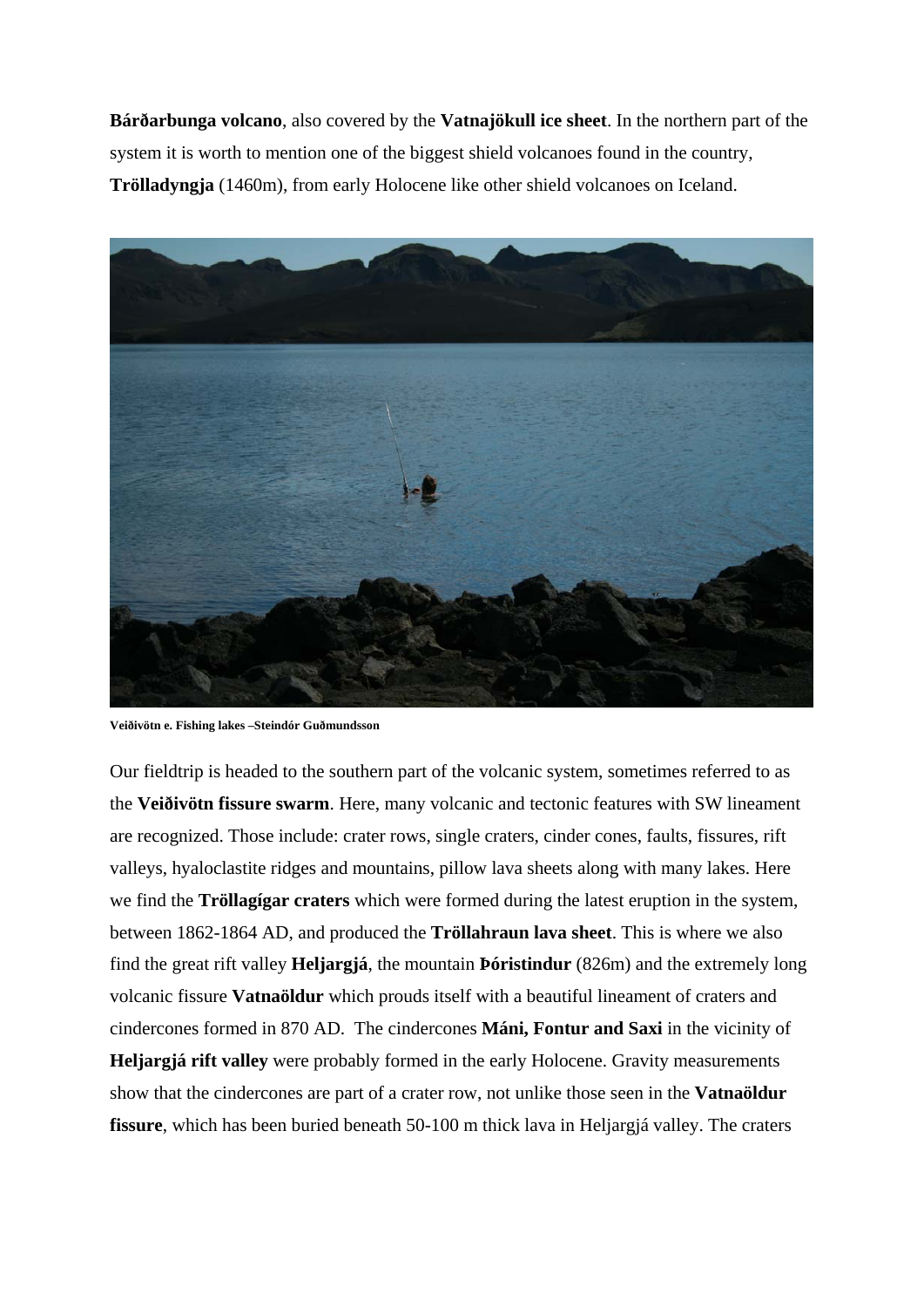**Bárðarbunga volcano**, also covered by the **Vatnajökull ice sheet**. In the northern part of the system it is worth to mention one of the biggest shield volcanoes found in the country, **Trölladyngja** (1460m), from early Holocene like other shield volcanoes on Iceland.



**Veiðivötn e. Fishing lakes –Steindór Guðmundsson** 

Our fieldtrip is headed to the southern part of the volcanic system, sometimes referred to as the **Veiðivötn fissure swarm**. Here, many volcanic and tectonic features with SW lineament are recognized. Those include: crater rows, single craters, cinder cones, faults, fissures, rift valleys, hyaloclastite ridges and mountains, pillow lava sheets along with many lakes. Here we find the **Tröllagígar craters** which were formed during the latest eruption in the system, between 1862-1864 AD, and produced the **Tröllahraun lava sheet**. This is where we also find the great rift valley **Heljargjá**, the mountain **Þóristindur** (826m) and the extremely long volcanic fissure **Vatnaöldur** which prouds itself with a beautiful lineament of craters and cindercones formed in 870 AD. The cindercones **Máni, Fontur and Saxi** in the vicinity of **Heljargjá rift valley** were probably formed in the early Holocene. Gravity measurements show that the cindercones are part of a crater row, not unlike those seen in the **Vatnaöldur fissure**, which has been buried beneath 50-100 m thick lava in Heljargjá valley. The craters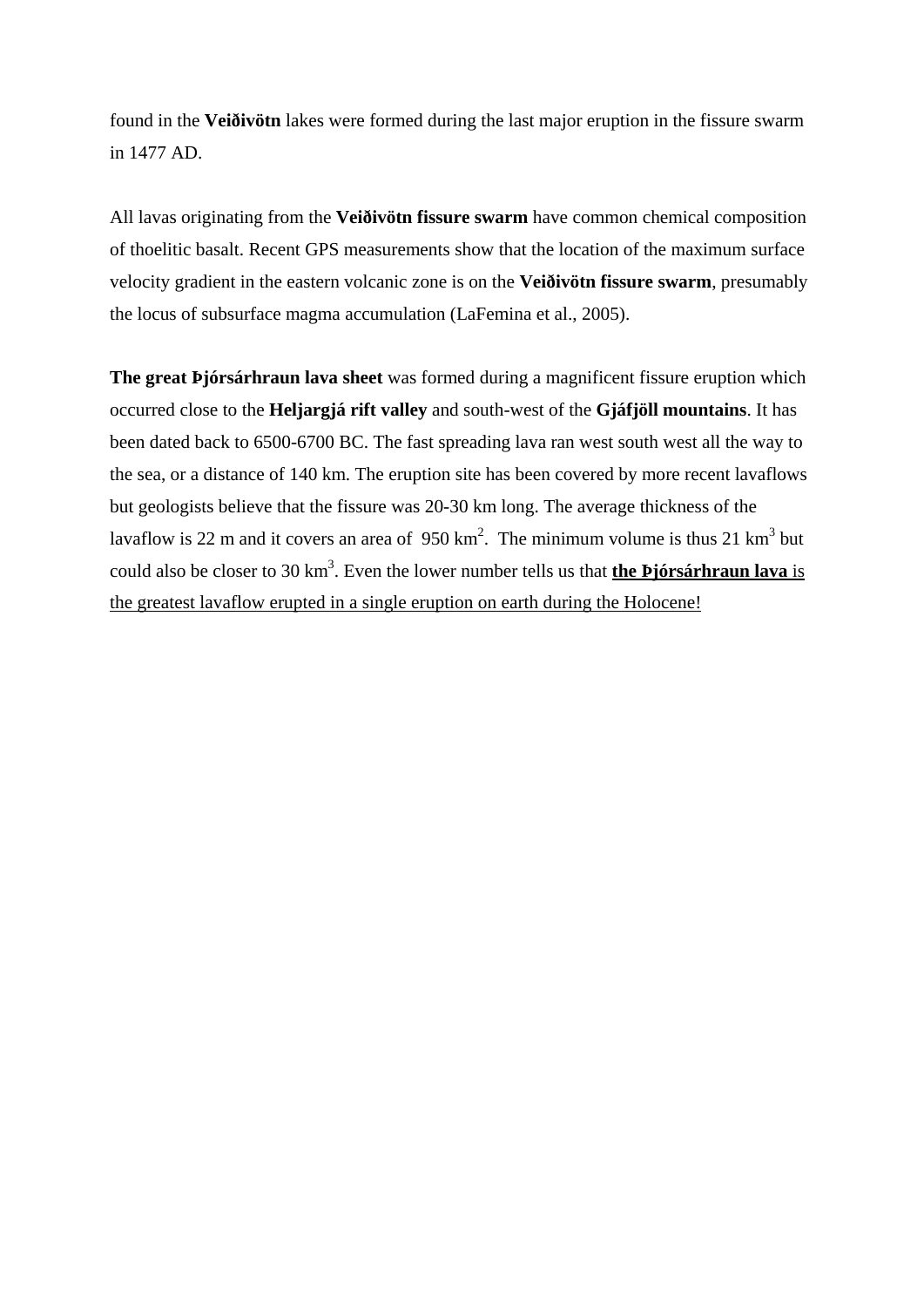found in the **Veiðivötn** lakes were formed during the last major eruption in the fissure swarm in 1477 AD.

All lavas originating from the **Veiðivötn fissure swarm** have common chemical composition of thoelitic basalt. Recent GPS measurements show that the location of the maximum surface velocity gradient in the eastern volcanic zone is on the **Veiðivötn fissure swarm**, presumably the locus of subsurface magma accumulation (LaFemina et al., 2005).

**The great Þjórsárhraun lava sheet** was formed during a magnificent fissure eruption which occurred close to the **Heljargjá rift valley** and south-west of the **Gjáfjöll mountains**. It has been dated back to 6500-6700 BC. The fast spreading lava ran west south west all the way to the sea, or a distance of 140 km. The eruption site has been covered by more recent lavaflows but geologists believe that the fissure was 20-30 km long. The average thickness of the lavaflow is 22 m and it covers an area of  $950 \text{ km}^2$ . The minimum volume is thus 21 km<sup>3</sup> but could also be closer to 30 km<sup>3</sup>. Even the lower number tells us that **the Þjórsárhraun lava** is the greatest lavaflow erupted in a single eruption on earth during the Holocene!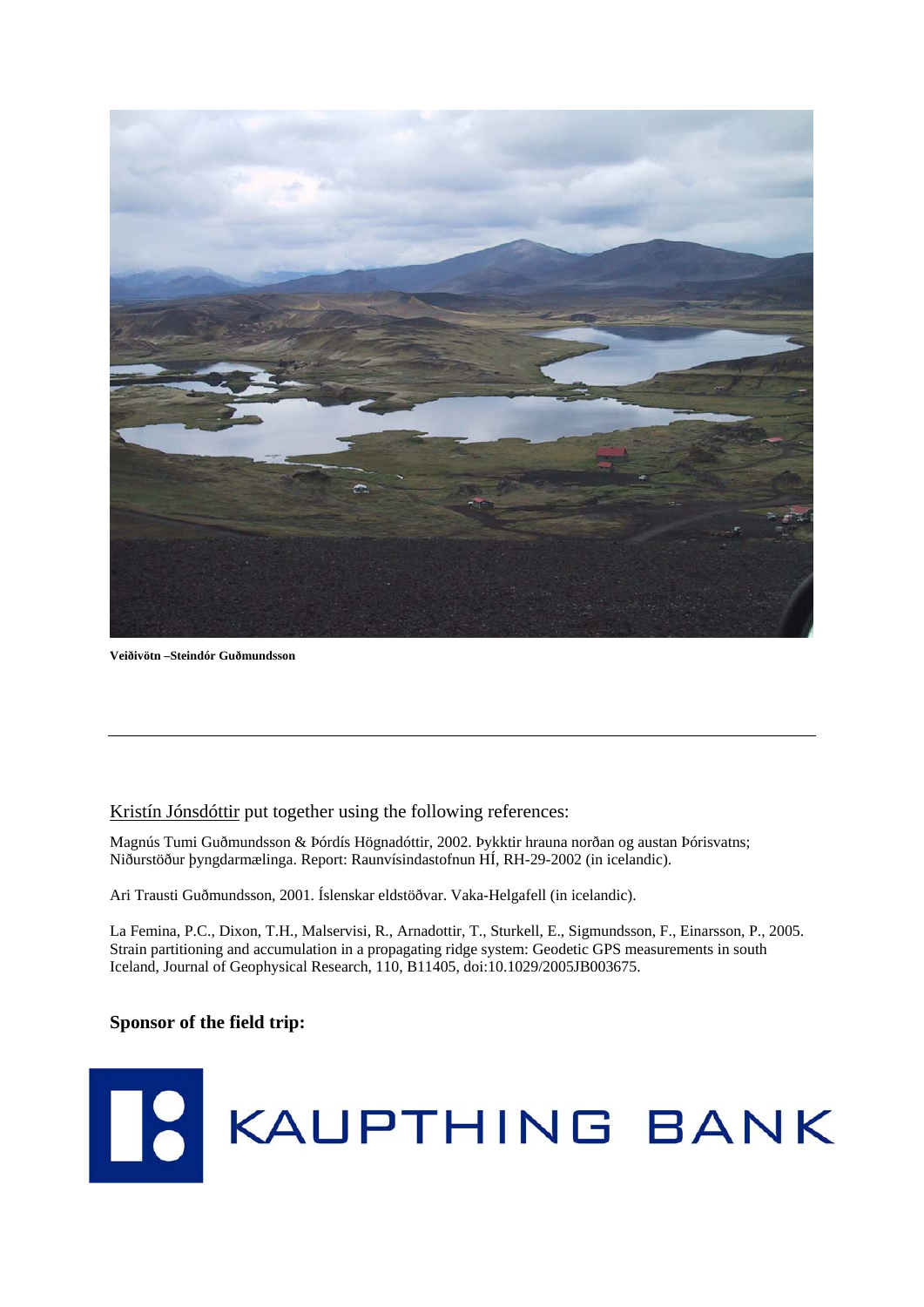

**Veiðivötn –Steindór Guðmundsson** 

## Kristín Jónsdóttir put together using the following references:

Magnús Tumi Guðmundsson & Þórdís Högnadóttir, 2002. Þykktir hrauna norðan og austan Þórisvatns; Niðurstöður þyngdarmælinga. Report: Raunvísindastofnun HÍ, RH-29-2002 (in icelandic).

Ari Trausti Guðmundsson, 2001. Íslenskar eldstöðvar. Vaka-Helgafell (in icelandic).

La Femina, P.C., Dixon, T.H., Malservisi, R., Arnadottir, T., Sturkell, E., Sigmundsson, F., Einarsson, P., 2005. Strain partitioning and accumulation in a propagating ridge system: Geodetic GPS measurements in south Iceland, Journal of Geophysical Research, 110, B11405, doi:10.1029/2005JB003675.

## **Sponsor of the field trip:**